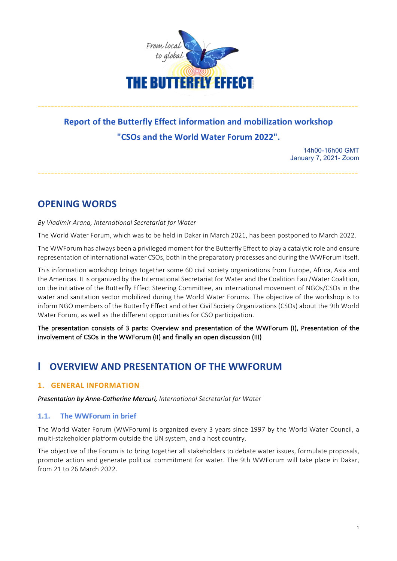

# **Report of the Butterfly Effect information and mobilization workshop "CSOs and the World Water Forum 2022".**

--------------------------------------------------------------------------------------------------

--------------------------------------------------------------------------------------------------

14h00-16h00 GMT January 7, 2021- Zoom

**OPENING WORDS**

## *By Vladimir Arana, International Secretariat for Water*

The World Water Forum, which was to be held in Dakar in March 2021, has been postponed to March 2022.

The WWForum has always been a privileged moment for the Butterfly Effect to play a catalytic role and ensure representation of international water CSOs, both in the preparatory processes and during the WWForum itself.

This information workshop brings together some 60 civil society organizations from Europe, Africa, Asia and the Americas. It is organized by the International Secretariat for Water and the Coalition Eau /Water Coalition, on the initiative of the Butterfly Effect Steering Committee, an international movement of NGOs/CSOs in the water and sanitation sector mobilized during the World Water Forums. The objective of the workshop is to inform NGO members of the Butterfly Effect and other Civil Society Organizations (CSOs) about the 9th World Water Forum, as well as the different opportunities for CSO participation.

The presentation consists of 3 parts: Overview and presentation of the WWForum (I), Presentation of the involvement of CSOs in the WWForum (II) and finally an open discussion (III)

## **I** OVERVIEW AND PRESENTATION OF THE WWEORUM

## **1. GENERAL INFORMATION**

**Presentation by Anne-Catherine Mercuri, International Secretariat for Water** 

## **1.1.** The WWForum in brief

The World Water Forum (WWForum) is organized every 3 years since 1997 by the World Water Council, a multi-stakeholder platform outside the UN system, and a host country.

The objective of the Forum is to bring together all stakeholders to debate water issues, formulate proposals, promote action and generate political commitment for water. The 9th WWForum will take place in Dakar, from 21 to 26 March 2022.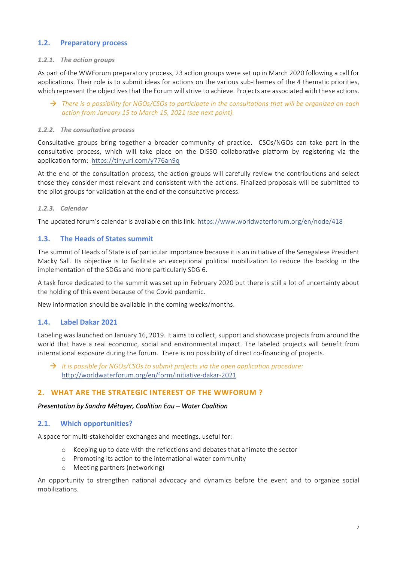## **1.2. Preparatory process**

#### 1.2.1. The action groups

As part of the WWForum preparatory process, 23 action groups were set up in March 2020 following a call for applications. Their role is to submit ideas for actions on the various sub-themes of the 4 thematic priorities, which represent the objectives that the Forum will strive to achieve. Projects are associated with these actions.

### $\rightarrow$  *There is a possibility for NGOs/CSOs to participate in the consultations that will be organized on each action from January 15 to March 15, 2021 (see next point).*

#### 1.2.2. The consultative process

Consultative groups bring together a broader community of practice. CSOs/NGOs can take part in the consultative process, which will take place on the DISSO collaborative platform by registering via the application form: https://tinyurl.com/y776an9q

At the end of the consultation process, the action groups will carefully review the contributions and select those they consider most relevant and consistent with the actions. Finalized proposals will be submitted to the pilot groups for validation at the end of the consultative process.

### *1.2.3. Calendar*

The updated forum's calendar is available on this link: https://www.worldwaterforum.org/en/node/418

## **1.3.** The Heads of States summit

The summit of Heads of State is of particular importance because it is an initiative of the Senegalese President Macky Sall. Its objective is to facilitate an exceptional political mobilization to reduce the backlog in the implementation of the SDGs and more particularly SDG 6.

A task force dedicated to the summit was set up in February 2020 but there is still a lot of uncertainty about the holding of this event because of the Covid pandemic.

New information should be available in the coming weeks/months.

## **1.4. Label Dakar 2021**

Labeling was launched on January 16, 2019. It aims to collect, support and showcase projects from around the world that have a real economic, social and environmental impact. The labeled projects will benefit from international exposure during the forum. There is no possibility of direct co-financing of projects.

 $\rightarrow$  It is possible for NGOs/CSOs to submit projects via the open application procedure: http://worldwaterforum.org/en/form/initiative-dakar-2021

## **2. WHAT ARE THE STRATEGIC INTEREST OF THE WWFORUM ?**

#### *Presentation by Sandra Métayer, Coalition Eau* – *Water Coalition*

## **2.1.** Which opportunities?

A space for multi-stakeholder exchanges and meetings, useful for:

- $\circ$  Keeping up to date with the reflections and debates that animate the sector
- o Promoting its action to the international water community
- o Meeting partners (networking)

An opportunity to strengthen national advocacy and dynamics before the event and to organize social mobilizations.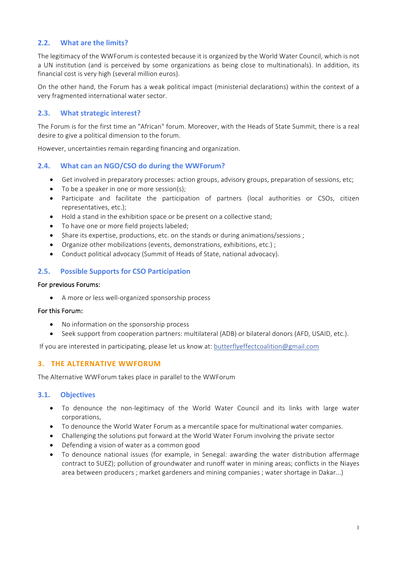## **2.2. What are the limits?**

The legitimacy of the WWForum is contested because it is organized by the World Water Council, which is not a UN institution (and is perceived by some organizations as being close to multinationals). In addition, its financial cost is very high (several million euros).

On the other hand, the Forum has a weak political impact (ministerial declarations) within the context of a very fragmented international water sector.

## **2.3.** What strategic interest?

The Forum is for the first time an "African" forum. Moreover, with the Heads of State Summit, there is a real desire to give a political dimension to the forum.

However, uncertainties remain regarding financing and organization.

## **2.4. What can an NGO/CSO do during the WWForum?**

- Get involved in preparatory processes: action groups, advisory groups, preparation of sessions, etc;
- $\bullet$  To be a speaker in one or more session(s);
- Participate and facilitate the participation of partners (local authorities or CSOs, citizen representatives, etc.);
- Hold a stand in the exhibition space or be present on a collective stand;
- To have one or more field projects labeled;
- Share its expertise, productions, etc. on the stands or during animations/sessions;
- Organize other mobilizations (events, demonstrations, exhibitions, etc.) ;
- Conduct political advocacy (Summit of Heads of State, national advocacy).

## **2.5.** Possible Supports for CSO Participation

#### For previous Forums:

• A more or less well-organized sponsorship process

#### For this Forum:

- No information on the sponsorship process
- Seek support from cooperation partners: multilateral (ADB) or bilateral donors (AFD, USAID, etc.).

If you are interested in participating, please let us know at: butterflyeffectcoalition@gmail.com

## **3. THE ALTERNATIVE WWFORUM**

The Alternative WWForum takes place in parallel to the WWForum

#### **3.1. Objectives**

- To denounce the non-legitimacy of the World Water Council and its links with large water corporations,
- To denounce the World Water Forum as a mercantile space for multinational water companies.
- Challenging the solutions put forward at the World Water Forum involving the private sector
- Defending a vision of water as a common good
- To denounce national issues (for example, in Senegal: awarding the water distribution affermage contract to SUEZ); pollution of groundwater and runoff water in mining areas; conflicts in the Niayes area between producers ; market gardeners and mining companies ; water shortage in Dakar...)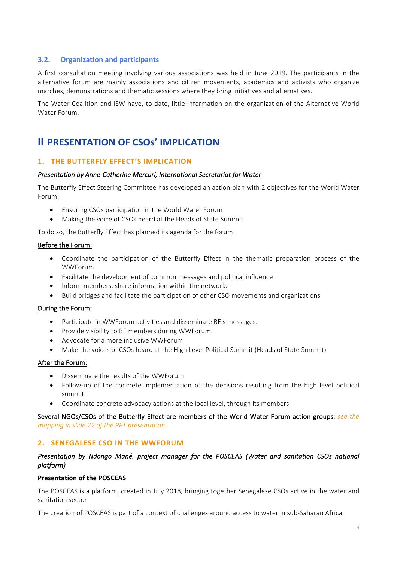## **3.2. Organization and participants**

A first consultation meeting involving various associations was held in June 2019. The participants in the alternative forum are mainly associations and citizen movements, academics and activists who organize marches, demonstrations and thematic sessions where they bring initiatives and alternatives.

The Water Coalition and ISW have, to date, little information on the organization of the Alternative World Water Forum.

## **II PRESENTATION OF CSOS' IMPLICATION**

### 1. THE BUTTERFLY EFFECT'S IMPLICATION

#### *Presentation by Anne-Catherine Mercuri, International Secretariat for Water*

The Butterfly Effect Steering Committee has developed an action plan with 2 objectives for the World Water Forum: 

- Ensuring CSOs participation in the World Water Forum
- Making the voice of CSOs heard at the Heads of State Summit

To do so, the Butterfly Effect has planned its agenda for the forum:

#### Before the Forum:

- Coordinate the participation of the Butterfly Effect in the thematic preparation process of the WWForum
- Facilitate the development of common messages and political influence
- Inform members, share information within the network.
- Build bridges and facilitate the participation of other CSO movements and organizations

#### During the Forum:

- Participate in WWForum activities and disseminate BE's messages.
- Provide visibility to BE members during WWForum.
- Advocate for a more inclusive WWForum
- Make the voices of CSOs heard at the High Level Political Summit (Heads of State Summit)

#### After the Forum:

- Disseminate the results of the WWForum
- Follow-up of the concrete implementation of the decisions resulting from the high level political summit
- Coordinate concrete advocacy actions at the local level, through its members.

#### Several NGOs/CSOs of the Butterfly Effect are members of the World Water Forum action groups: see the *mapping in slide 22 of the PPT presentation.*

#### **2. SENEGALESE CSO IN THE WWFORUM**

#### *Presentation by Ndongo Mané, project manager for the POSCEAS (Water and sanitation CSOs national platform)*

#### **Presentation of the POSCEAS**

The POSCEAS is a platform, created in July 2018, bringing together Senegalese CSOs active in the water and sanitation sector

The creation of POSCEAS is part of a context of challenges around access to water in sub-Saharan Africa.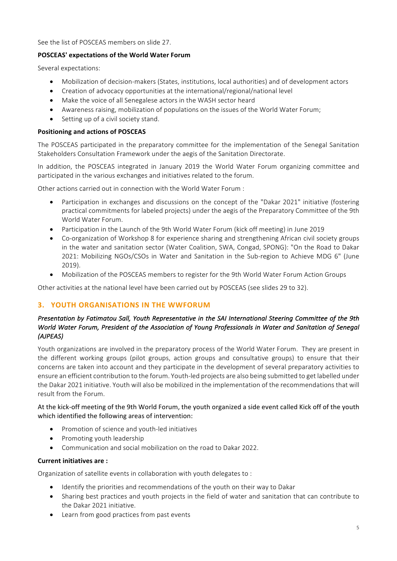See the list of POSCEAS members on slide 27.

## **POSCEAS' expectations of the World Water Forum**

Several expectations:

- Mobilization of decision-makers (States, institutions, local authorities) and of development actors
- Creation of advocacy opportunities at the international/regional/national level
- Make the voice of all Senegalese actors in the WASH sector heard
- Awareness raising, mobilization of populations on the issues of the World Water Forum;
- Setting up of a civil society stand.

## **Positioning and actions of POSCEAS**

The POSCEAS participated in the preparatory committee for the implementation of the Senegal Sanitation Stakeholders Consultation Framework under the aegis of the Sanitation Directorate.

In addition, the POSCEAS integrated in January 2019 the World Water Forum organizing committee and participated in the various exchanges and initiatives related to the forum.

Other actions carried out in connection with the World Water Forum :

- Participation in exchanges and discussions on the concept of the "Dakar 2021" initiative (fostering practical commitments for labeled projects) under the aegis of the Preparatory Committee of the 9th World Water Forum.
- Participation in the Launch of the 9th World Water Forum (kick off meeting) in June 2019
- Co-organization of Workshop 8 for experience sharing and strengthening African civil society groups in the water and sanitation sector (Water Coalition, SWA, Congad, SPONG): "On the Road to Dakar 2021: Mobilizing NGOs/CSOs in Water and Sanitation in the Sub-region to Achieve MDG 6" (June 2019).
- Mobilization of the POSCEAS members to register for the 9th World Water Forum Action Groups

Other activities at the national level have been carried out by POSCEAS (see slides 29 to 32).

## **3. YOUTH ORGANISATIONS IN THE WWFORUM**

## *Presentation by Fatimatou Sall, Youth Representative in the SAI International Steering Committee of the 9th World Water Forum, President of the Association of Young Professionals in Water and Sanitation of Senegal (AJPEAS)*

Youth organizations are involved in the preparatory process of the World Water Forum. They are present in the different working groups (pilot groups, action groups and consultative groups) to ensure that their concerns are taken into account and they participate in the development of several preparatory activities to ensure an efficient contribution to the forum. Youth-led projects are also being submitted to get labelled under the Dakar 2021 initiative. Youth will also be mobilized in the implementation of the recommendations that will result from the Forum.

## At the kick-off meeting of the 9th World Forum, the youth organized a side event called Kick off of the youth which identified the following areas of intervention:

- Promotion of science and youth-led initiatives
- Promoting youth leadership
- Communication and social mobilization on the road to Dakar 2022.

## **Current initiatives are:**

Organization of satellite events in collaboration with youth delegates to :

- Identify the priorities and recommendations of the youth on their way to Dakar
- Sharing best practices and youth projects in the field of water and sanitation that can contribute to the Dakar 2021 initiative.
- Learn from good practices from past events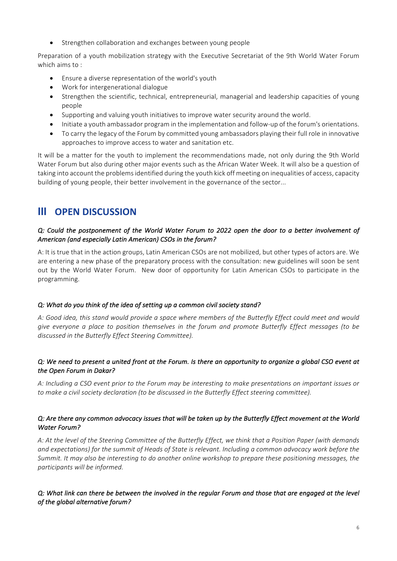Strengthen collaboration and exchanges between young people

Preparation of a youth mobilization strategy with the Executive Secretariat of the 9th World Water Forum which aims to:

- Ensure a diverse representation of the world's youth
- Work for intergenerational dialogue
- Strengthen the scientific, technical, entrepreneurial, managerial and leadership capacities of young people
- Supporting and valuing youth initiatives to improve water security around the world.
- Initiate a youth ambassador program in the implementation and follow-up of the forum's orientations.
- To carry the legacy of the Forum by committed young ambassadors playing their full role in innovative approaches to improve access to water and sanitation etc.

It will be a matter for the youth to implement the recommendations made, not only during the 9th World Water Forum but also during other major events such as the African Water Week. It will also be a question of taking into account the problems identified during the youth kick off meeting on inequalities of access, capacity building of young people, their better involvement in the governance of the sector...

## **III** OPEN DISCUSSION

## *Q: Could the postponement of the World Water Forum to 2022 open the door to a better involvement of American (and especially Latin American) CSOs in the forum?*

A: It is true that in the action groups, Latin American CSOs are not mobilized, but other types of actors are. We are entering a new phase of the preparatory process with the consultation: new guidelines will soon be sent out by the World Water Forum. New door of opportunity for Latin American CSOs to participate in the programming.

## *Q: What do you think of the idea of setting up a common civil society stand?*

*A: Good idea, this stand would provide a space where members of the Butterfly Effect could meet and would give* everyone a place to position themselves in the forum and promote Butterfly Effect messages (to be discussed in the Butterfly Effect Steering Committee).

## *Q:* We need to present a united front at the Forum. Is there an opportunity to organize a global CSO event at the Open Forum in Dakar?

*A: Including a CSO event prior to the Forum may be interesting to make presentations on important issues or to* make a civil society declaration (to be discussed in the Butterfly Effect steering committee).

### *Q: Are there any common advocacy issues that will be taken up by the Butterfly Effect movement at the World Water Forum?*

A: At the level of the Steering Committee of the Butterfly Effect, we think that a Position Paper (with demands and expectations) for the summit of Heads of State is relevant. Including a common advocacy work before the *Summit.* It may also be interesting to do another online workshop to prepare these positioning messages, the *participants will be informed.* 

## *Q: What link can there be between the involved in the regular Forum and those that are engaged at the level*  of the global alternative forum?